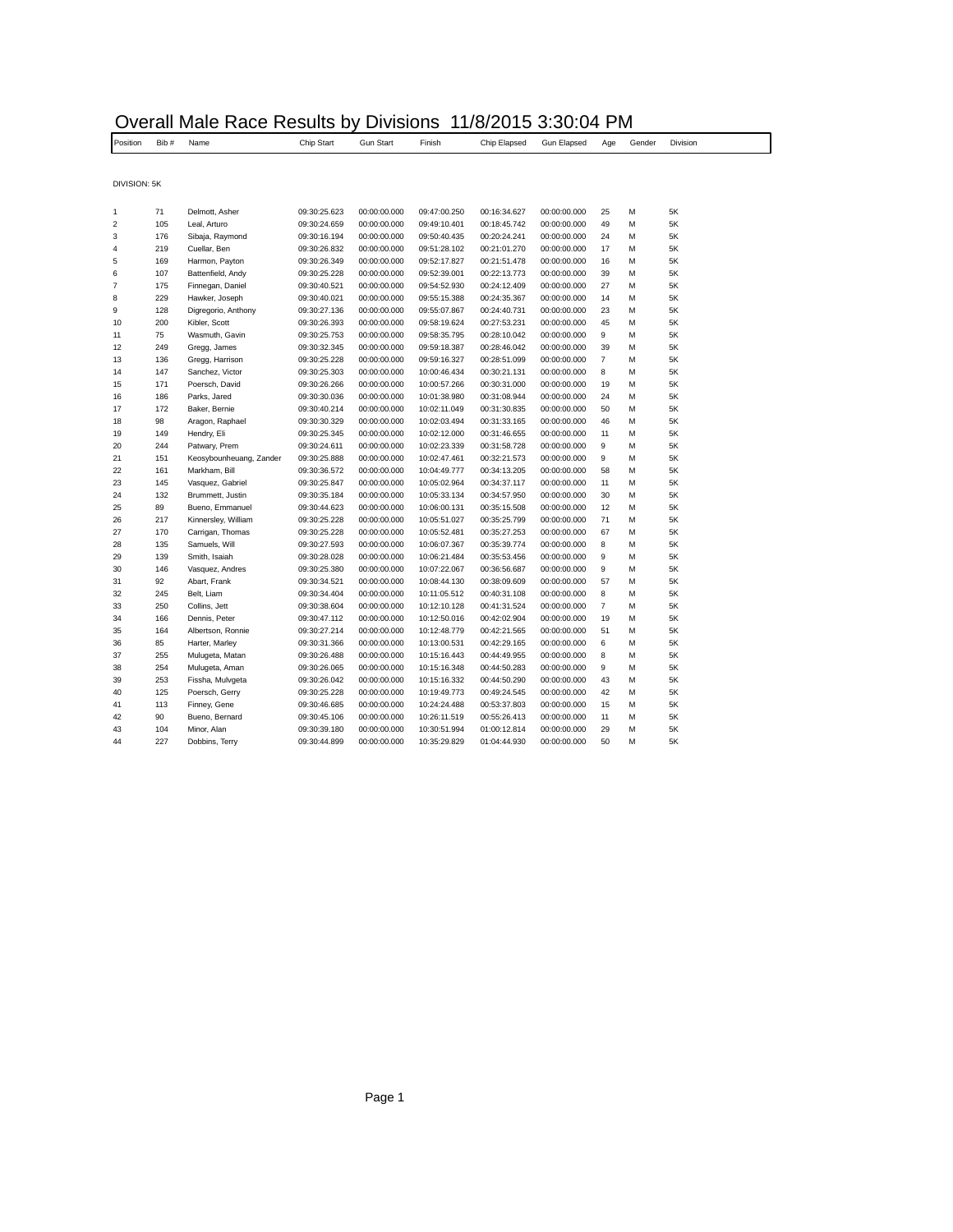## Overall Male Race Results by Divisions 11/8/2015 3:30:04 PM

| Position                | Bib# | Name                    | Chip Start   | <b>Gun Start</b> | Finish       | Chip Elapsed | Gun Elapsed  | Age            | Gender | Division |
|-------------------------|------|-------------------------|--------------|------------------|--------------|--------------|--------------|----------------|--------|----------|
|                         |      |                         |              |                  |              |              |              |                |        |          |
| DIVISION: 5K            |      |                         |              |                  |              |              |              |                |        |          |
|                         |      |                         |              |                  |              |              |              |                |        |          |
| 1                       | 71   | Delmott, Asher          | 09:30:25.623 | 00:00:00.000     | 09:47:00.250 | 00:16:34.627 | 00:00:00.000 | 25             | M      | 5K       |
| $\overline{\mathbf{c}}$ | 105  | Leal, Arturo            | 09:30:24.659 | 00:00:00.000     | 09:49:10.401 | 00:18:45.742 | 00:00:00.000 | 49             | M      | 5K       |
| 3                       | 176  | Sibaja, Raymond         | 09:30:16.194 | 00:00:00.000     | 09:50:40.435 | 00:20:24.241 | 00:00:00.000 | 24             | M      | 5K       |
| 4                       | 219  | Cuellar, Ben            | 09:30:26.832 | 00:00:00.000     | 09:51:28.102 | 00:21:01.270 | 00:00:00.000 | 17             | M      | 5K       |
| 5                       | 169  | Harmon, Payton          | 09:30:26.349 | 00:00:00.000     | 09:52:17.827 | 00:21:51.478 | 00:00:00.000 | 16             | M      | 5K       |
| 6                       | 107  | Battenfield, Andy       | 09:30:25.228 | 00:00:00.000     | 09:52:39.001 | 00:22:13.773 | 00:00:00.000 | 39             | M      | 5K       |
| 7                       | 175  | Finnegan, Daniel        | 09:30:40.521 | 00:00:00.000     | 09:54:52.930 | 00:24:12.409 | 00:00:00.000 | 27             | M      | 5K       |
| 8                       | 229  | Hawker, Joseph          | 09:30:40.021 | 00:00:00.000     | 09:55:15.388 | 00:24:35.367 | 00:00:00.000 | 14             | M      | 5K       |
| 9                       | 128  | Digregorio, Anthony     | 09:30:27.136 | 00:00:00.000     | 09:55:07.867 | 00:24:40.731 | 00:00:00.000 | 23             | M      | 5K       |
| 10                      | 200  | Kibler, Scott           | 09:30:26.393 | 00:00:00.000     | 09:58:19.624 | 00:27:53.231 | 00:00:00.000 | 45             | M      | 5K       |
| 11                      | 75   | Wasmuth, Gavin          | 09:30:25.753 | 00:00:00.000     | 09:58:35.795 | 00:28:10.042 | 00:00:00.000 | 9              | M      | 5K       |
| 12                      | 249  | Gregg, James            | 09:30:32.345 | 00:00:00.000     | 09:59:18.387 | 00:28:46.042 | 00:00:00.000 | 39             | M      | 5K       |
| 13                      | 136  | Gregg, Harrison         | 09:30:25.228 | 00:00:00.000     | 09:59:16.327 | 00:28:51.099 | 00:00:00.000 | $\overline{7}$ | M      | 5K       |
| 14                      | 147  | Sanchez, Victor         | 09:30:25.303 | 00:00:00.000     | 10:00:46.434 | 00:30:21.131 | 00:00:00.000 | 8              | M      | 5K       |
| 15                      | 171  | Poersch, David          | 09:30:26.266 | 00:00:00.000     | 10:00:57.266 | 00:30:31.000 | 00:00:00.000 | 19             | M      | 5K       |
| 16                      | 186  | Parks, Jared            | 09:30:30.036 | 00:00:00.000     | 10:01:38.980 | 00:31:08.944 | 00:00:00.000 | 24             | M      | 5K       |
| 17                      | 172  | Baker, Bernie           | 09:30:40.214 | 00:00:00.000     | 10:02:11.049 | 00:31:30.835 | 00:00:00.000 | 50             | M      | 5K       |
| 18                      | 98   | Aragon, Raphael         | 09:30:30.329 | 00:00:00.000     | 10:02:03.494 | 00:31:33.165 | 00:00:00.000 | 46             | M      | 5K       |
| 19                      | 149  | Hendry, Eli             | 09:30:25.345 | 00:00:00.000     | 10:02:12.000 | 00:31:46.655 | 00:00:00.000 | 11             | M      | 5K       |
| 20                      | 244  | Patwary, Prem           | 09:30:24.611 | 00:00:00.000     | 10:02:23.339 | 00:31:58.728 | 00:00:00.000 | 9              | M      | 5K       |
| 21                      | 151  | Keosybounheuang, Zander | 09:30:25.888 | 00:00:00.000     | 10:02:47.461 | 00:32:21.573 | 00:00:00.000 | 9              | M      | 5K       |
| 22                      | 161  | Markham, Bill           | 09:30:36.572 | 00:00:00.000     | 10:04:49.777 | 00:34:13.205 | 00:00:00.000 | 58             | M      | 5K       |
| 23                      | 145  | Vasquez, Gabriel        | 09:30:25.847 | 00:00:00.000     | 10:05:02.964 | 00:34:37.117 | 00:00:00.000 | 11             | M      | 5K       |
| 24                      | 132  | Brummett, Justin        | 09:30:35.184 | 00:00:00.000     | 10:05:33.134 | 00:34:57.950 | 00:00:00.000 | 30             | M      | 5K       |
| 25                      | 89   | Bueno, Emmanuel         | 09:30:44.623 | 00:00:00.000     | 10:06:00.131 | 00:35:15.508 | 00:00:00.000 | 12             | M      | 5K       |
| 26                      | 217  | Kinnersley, William     | 09:30:25.228 | 00:00:00.000     | 10:05:51.027 | 00:35:25.799 | 00:00:00.000 | 71             | M      | 5K       |
| 27                      | 170  | Carrigan, Thomas        | 09:30:25.228 | 00:00:00.000     | 10:05:52.481 | 00:35:27.253 | 00:00:00.000 | 67             | M      | 5K       |
| 28                      | 135  | Samuels, Will           | 09:30:27.593 | 00:00:00.000     | 10:06:07.367 | 00:35:39.774 | 00:00:00.000 | 8              | M      | 5K       |
| 29                      | 139  | Smith, Isaiah           | 09:30:28.028 | 00:00:00.000     | 10:06:21.484 | 00:35:53.456 | 00:00:00.000 | 9              | M      | 5K       |
| 30                      | 146  | Vasquez, Andres         | 09:30:25.380 | 00:00:00.000     | 10:07:22.067 | 00:36:56.687 | 00:00:00.000 | 9              | M      | 5K       |
| 31                      | 92   | Abart, Frank            | 09:30:34.521 | 00:00:00.000     | 10:08:44.130 | 00:38:09.609 | 00:00:00.000 | 57             | M      | 5K       |
| 32                      | 245  | Belt, Liam              | 09:30:34.404 | 00:00:00.000     | 10:11:05.512 | 00:40:31.108 | 00:00:00.000 | 8              | M      | 5K       |
| 33                      | 250  | Collins, Jett           | 09:30:38.604 | 00:00:00.000     | 10:12:10.128 | 00:41:31.524 | 00:00:00.000 | $\overline{7}$ | M      | 5K       |
| 34                      | 166  | Dennis, Peter           | 09:30:47.112 | 00:00:00.000     | 10:12:50.016 | 00:42:02.904 | 00:00:00.000 | 19             | M      | 5K       |
| 35                      | 164  | Albertson, Ronnie       | 09:30:27.214 | 00:00:00.000     | 10:12:48.779 | 00:42:21.565 | 00:00:00.000 | 51             | M      | 5K       |
| 36                      | 85   | Harter, Marley          | 09:30:31.366 | 00:00:00.000     | 10:13:00.531 | 00:42:29.165 | 00:00:00.000 | 6              | M      | 5K       |
| 37                      | 255  | Mulugeta, Matan         | 09:30:26.488 | 00:00:00.000     | 10:15:16.443 | 00:44:49.955 | 00:00:00.000 | 8              | M      | 5K       |
| 38                      | 254  | Mulugeta, Aman          | 09:30:26.065 | 00:00:00.000     | 10:15:16.348 | 00:44:50.283 | 00:00:00.000 | 9              | M      | 5K       |
| 39                      | 253  | Fissha, Mulvgeta        | 09:30:26.042 | 00:00:00.000     | 10:15:16.332 | 00:44:50.290 | 00:00:00.000 | 43             | M      | 5K       |
| 40                      | 125  | Poersch, Gerry          | 09:30:25.228 | 00:00:00.000     | 10:19:49.773 | 00:49:24.545 | 00:00:00.000 | 42             | M      | 5K       |
| 41                      | 113  | Finney, Gene            | 09:30:46.685 | 00:00:00.000     | 10:24:24.488 | 00:53:37.803 | 00:00:00.000 | 15             | M      | 5K       |
| 42                      | 90   | Bueno, Bernard          | 09:30:45.106 | 00:00:00.000     | 10:26:11.519 | 00:55:26.413 | 00:00:00.000 | 11             | M      | 5K       |
| 43                      | 104  | Minor, Alan             | 09:30:39.180 | 00:00:00.000     | 10:30:51.994 | 01:00:12.814 | 00:00:00.000 | 29             | M      | 5K       |
| 44                      | 227  | Dobbins, Terry          | 09:30:44.899 | 00:00:00.000     | 10:35:29.829 | 01:04:44.930 | 00:00:00.000 | 50             | M      | 5K       |